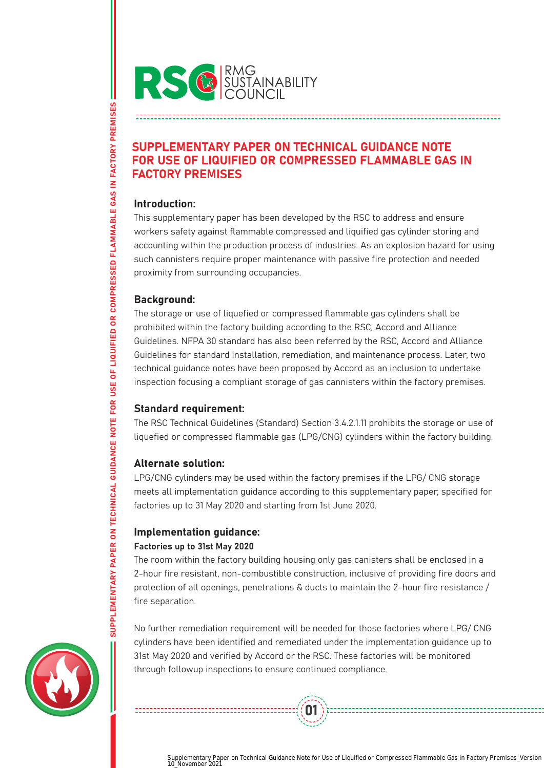

# SUPPLEMENTARY PAPER ON TECHNICAL GUIDANCE NOTE FOR USE OF LIQUIFIED OR COMPRESSED FLAMMABLE GAS IN FACTORY PREMISES

## Introduction:

This supplementary paper has been developed by the RSC to address and ensure workers safety against flammable compressed and liquified gas cylinder storing and accounting within the production process of industries. As an explosion hazard for using such cannisters require proper maintenance with passive fire protection and needed proximity from surrounding occupancies.

## Background:

The storage or use of liquefied or compressed flammable gas cylinders shall be prohibited within the factory building according to the RSC, Accord and Alliance Guidelines. NFPA 30 standard has also been referred by the RSC, Accord and Alliance Guidelines for standard installation, remediation, and maintenance process. Later, two technical guidance notes have been proposed by Accord as an inclusion to undertake inspection focusing a compliant storage of gas cannisters within the factory premises.

# Standard requirement:

The RSC Technical Guidelines (Standard) Section 3.4.2.1.11 prohibits the storage or use of liquefied or compressed flammable gas (LPG/CNG) cylinders within the factory building.

# Alternate solution:

LPG/CNG cylinders may be used within the factory premises if the LPG/ CNG storage meets all implementation guidance according to this supplementary paper; specified for factories up to 31 May 2020 and starting from 1st June 2020.

# Implementation guidance:

## Factories up to 31st May 2020

The room within the factory building housing only gas canisters shall be enclosed in a 2-hour fire resistant, non-combustible construction, inclusive of providing fire doors and protection of all openings, penetrations & ducts to maintain the 2-hour fire resistance / fire separation.

No further remediation requirement will be needed for those factories where LPG/ CNG cylinders have been identified and remediated under the implementation guidance up to 31st May 2020 and verified by Accord or the RSC. These factories will be monitored through followup inspections to ensure continued compliance.

01



SUPPLEMENTARY PAPER ON TECHNICAL GUIDANCE NOTE FOR USE OF LIQUIFIED OR COMPRESSED FLAMMABLE GAS IN FACTORY PREMISES SUPPLEMENTARY PAPER ON TECHNICAL GUIDANCE NOTE FOR USE OF LIQUIFIED OR COMPRESSED FLAMMABLE GAS IN FACTORY PREMISES

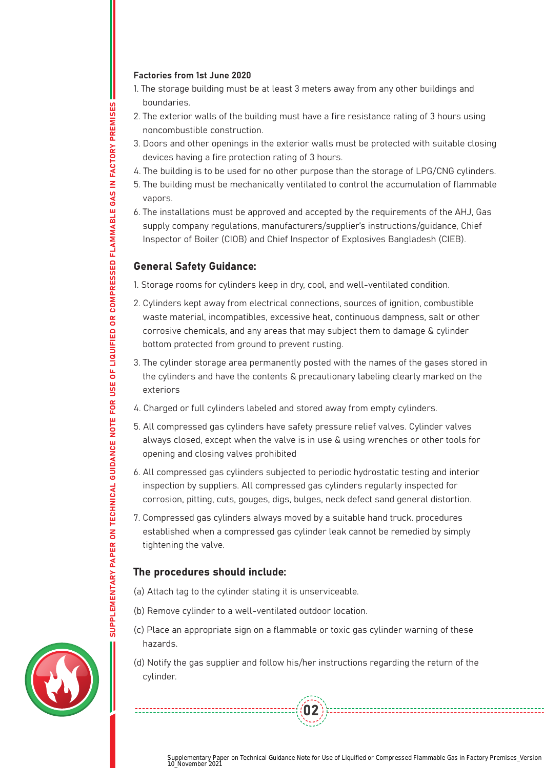#### Factories from 1st June 2020

- 1. The storage building must be at least 3 meters away from any other buildings and boundaries.
- 2. The exterior walls of the building must have a fire resistance rating of 3 hours using noncombustible construction.
- 3. Doors and other openings in the exterior walls must be protected with suitable closing devices having a fire protection rating of 3 hours.
- 4. The building is to be used for no other purpose than the storage of LPG/CNG cylinders.
- 5. The building must be mechanically ventilated to control the accumulation of flammable vapors.
- 6. The installations must be approved and accepted by the requirements of the AHJ, Gas supply company regulations, manufacturers/supplier's instructions/guidance, Chief Inspector of Boiler (CIOB) and Chief Inspector of Explosives Bangladesh (CIEB).

#### General Safety Guidance:

- 1. Storage rooms for cylinders keep in dry, cool, and well-ventilated condition.
- 2. Cylinders kept away from electrical connections, sources of ignition, combustible waste material, incompatibles, excessive heat, continuous dampness, salt or other corrosive chemicals, and any areas that may subject them to damage & cylinder bottom protected from ground to prevent rusting.
- 3. The cylinder storage area permanently posted with the names of the gases stored in the cylinders and have the contents & precautionary labeling clearly marked on the exteriors
- 4. Charged or full cylinders labeled and stored away from empty cylinders.
- 5. All compressed gas cylinders have safety pressure relief valves. Cylinder valves always closed, except when the valve is in use & using wrenches or other tools for opening and closing valves prohibited
- 6. All compressed gas cylinders subjected to periodic hydrostatic testing and interior inspection by suppliers. All compressed gas cylinders regularly inspected for corrosion, pitting, cuts, gouges, digs, bulges, neck defect sand general distortion.
- 7. Compressed gas cylinders always moved by a suitable hand truck. procedures established when a compressed gas cylinder leak cannot be remedied by simply tightening the valve.

## The procedures should include:

- (a) Attach tag to the cylinder stating it is unserviceable.
- (b) Remove cylinder to a well-ventilated outdoor location.
- (c) Place an appropriate sign on a flammable or toxic gas cylinder warning of these hazards.
- (d) Notify the gas supplier and follow his/her instructions regarding the return of the cylinder.

02



Supplementary Paper on Technical Guidance Note for Use of Liquified or Compressed Flammable Gas in Factory Premises\_Version 1.0\_November 2021